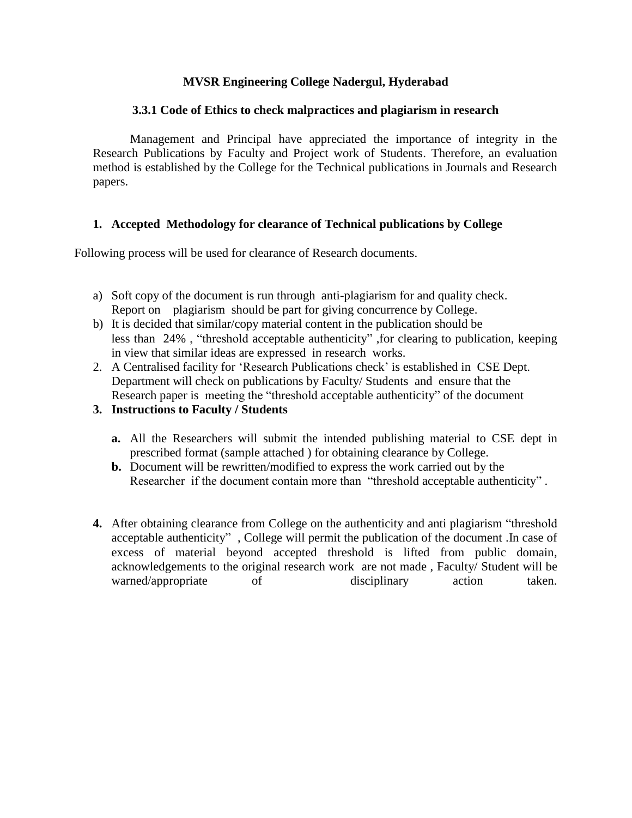# **MVSR Engineering College Nadergul, Hyderabad**

### **3.3.1 Code of Ethics to check malpractices and plagiarism in research**

Management and Principal have appreciated the importance of integrity in the Research Publications by Faculty and Project work of Students. Therefore, an evaluation method is established by the College for the Technical publications in Journals and Research papers.

# **1. Accepted Methodology for clearance of Technical publications by College**

Following process will be used for clearance of Research documents.

- a) Soft copy of the document is run through anti-plagiarism for and quality check. Report on plagiarism should be part for giving concurrence by College.
- b) It is decided that similar/copy material content in the publication should be less than 24% , "threshold acceptable authenticity" ,for clearing to publication, keeping in view that similar ideas are expressed in research works.
- 2. A Centralised facility for 'Research Publications check' is established in CSE Dept. Department will check on publications by Faculty/ Students and ensure that the Research paper is meeting the "threshold acceptable authenticity" of the document
- **3. Instructions to Faculty / Students**
	- **a.** All the Researchers will submit the intended publishing material to CSE dept in prescribed format (sample attached ) for obtaining clearance by College.
	- **b.** Document will be rewritten/modified to express the work carried out by the Researcher if the document contain more than "threshold acceptable authenticity" .
- **4.** After obtaining clearance from College on the authenticity and anti plagiarism "threshold acceptable authenticity" , College will permit the publication of the document .In case of excess of material beyond accepted threshold is lifted from public domain, acknowledgements to the original research work are not made , Faculty/ Student will be warned/appropriate of disciplinary action taken.